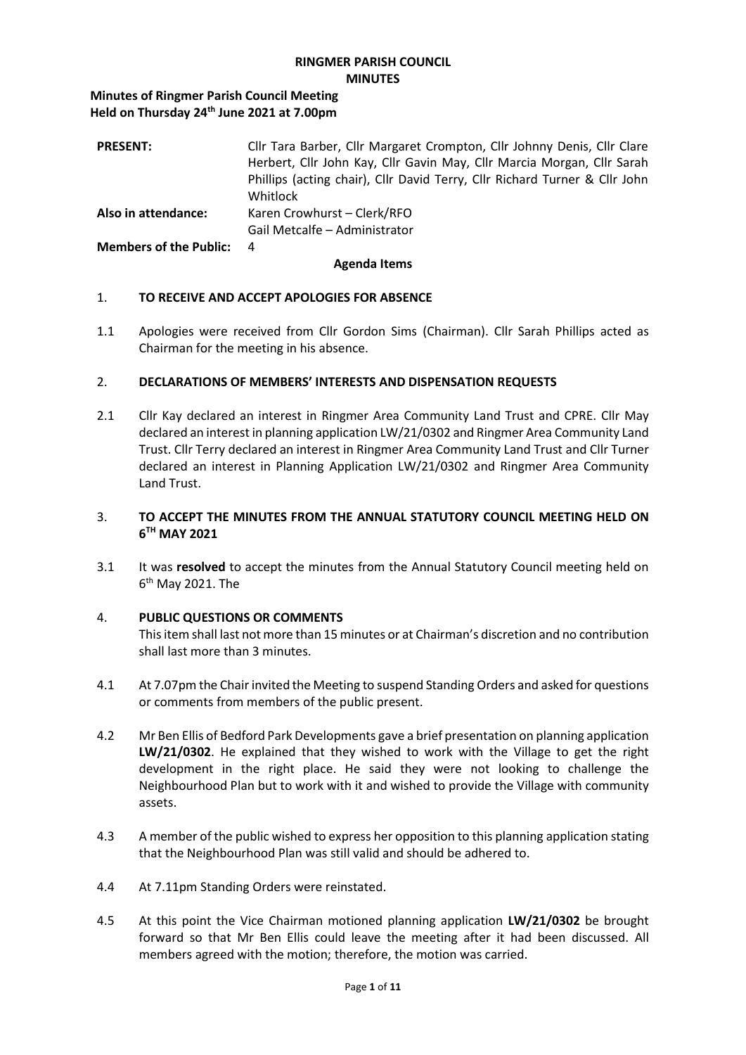### **RINGMER PARISH COUNCIL MINUTES**

**Minutes of Ringmer Parish Council Meeting Held on Thursday 24th June 2021 at 7.00pm**

| <b>PRESENT:</b>        | Cllr Tara Barber, Cllr Margaret Crompton, Cllr Johnny Denis, Cllr Clare<br>Herbert, Cllr John Kay, Cllr Gavin May, Cllr Marcia Morgan, Cllr Sarah<br>Phillips (acting chair), Cllr David Terry, Cllr Richard Turner & Cllr John<br>Whitlock |
|------------------------|---------------------------------------------------------------------------------------------------------------------------------------------------------------------------------------------------------------------------------------------|
| Also in attendance:    | Karen Crowhurst - Clerk/RFO<br>Gail Metcalfe - Administrator                                                                                                                                                                                |
| Members of the Public: | -4                                                                                                                                                                                                                                          |

### **Agenda Items**

### 1. **TO RECEIVE AND ACCEPT APOLOGIES FOR ABSENCE**

1.1 Apologies were received from Cllr Gordon Sims (Chairman). Cllr Sarah Phillips acted as Chairman for the meeting in his absence.

### 2. **DECLARATIONS OF MEMBERS' INTERESTS AND DISPENSATION REQUESTS**

2.1 Cllr Kay declared an interest in Ringmer Area Community Land Trust and CPRE. Cllr May declared an interest in planning application LW/21/0302 and Ringmer Area Community Land Trust. Cllr Terry declared an interest in Ringmer Area Community Land Trust and Cllr Turner declared an interest in Planning Application LW/21/0302 and Ringmer Area Community Land Trust.

### 3. **TO ACCEPT THE MINUTES FROM THE ANNUAL STATUTORY COUNCIL MEETING HELD ON 6 TH MAY 2021**

3.1 It was **resolved** to accept the minutes from the Annual Statutory Council meeting held on 6<sup>th</sup> May 2021. The

### 4. **PUBLIC QUESTIONS OR COMMENTS**

This item shall last not more than 15 minutes or at Chairman's discretion and no contribution shall last more than 3 minutes.

- 4.1 At 7.07pm the Chair invited the Meeting to suspend Standing Orders and asked for questions or comments from members of the public present.
- 4.2 Mr Ben Ellis of Bedford Park Developments gave a brief presentation on planning application **LW/21/0302**. He explained that they wished to work with the Village to get the right development in the right place. He said they were not looking to challenge the Neighbourhood Plan but to work with it and wished to provide the Village with community assets.
- 4.3 A member of the public wished to express her opposition to this planning application stating that the Neighbourhood Plan was still valid and should be adhered to.
- 4.4 At 7.11pm Standing Orders were reinstated.
- 4.5 At this point the Vice Chairman motioned planning application **LW/21/0302** be brought forward so that Mr Ben Ellis could leave the meeting after it had been discussed. All members agreed with the motion; therefore, the motion was carried.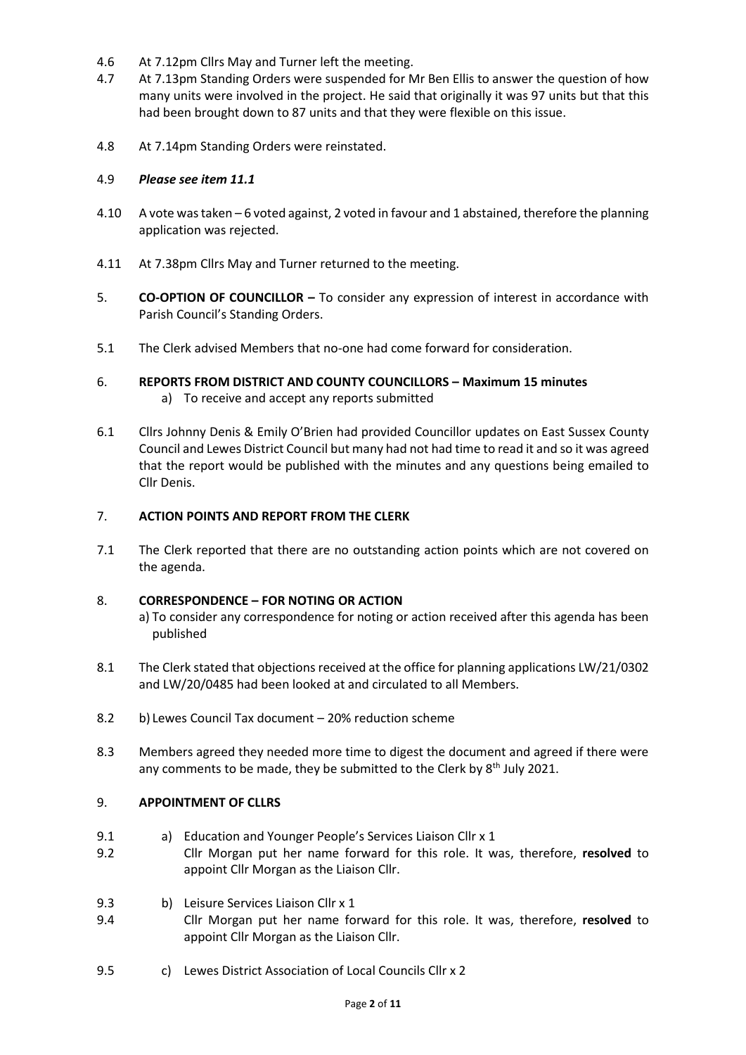- 4.6 At 7.12pm Cllrs May and Turner left the meeting.
- 4.7 At 7.13pm Standing Orders were suspended for Mr Ben Ellis to answer the question of how many units were involved in the project. He said that originally it was 97 units but that this had been brought down to 87 units and that they were flexible on this issue.
- 4.8 At 7.14pm Standing Orders were reinstated.

### 4.9 *Please see item 11.1*

- 4.10 A vote was taken 6 voted against, 2 voted in favour and 1 abstained, therefore the planning application was rejected.
- 4.11 At 7.38pm Cllrs May and Turner returned to the meeting.
- 5. **CO-OPTION OF COUNCILLOR –** To consider any expression of interest in accordance with Parish Council's Standing Orders.
- 5.1 The Clerk advised Members that no-one had come forward for consideration.
- 6. **REPORTS FROM DISTRICT AND COUNTY COUNCILLORS – Maximum 15 minutes** a) To receive and accept any reports submitted
- 6.1 Cllrs Johnny Denis & Emily O'Brien had provided Councillor updates on East Sussex County Council and Lewes District Council but many had not had time to read it and so it was agreed that the report would be published with the minutes and any questions being emailed to Cllr Denis.

### 7. **ACTION POINTS AND REPORT FROM THE CLERK**

7.1 The Clerk reported that there are no outstanding action points which are not covered on the agenda.

### 8. **CORRESPONDENCE – FOR NOTING OR ACTION**

- a) To consider any correspondence for noting or action received after this agenda has been published
- 8.1 The Clerk stated that objections received at the office for planning applications LW/21/0302 and LW/20/0485 had been looked at and circulated to all Members.
- 8.2 b) Lewes Council Tax document 20% reduction scheme
- 8.3 Members agreed they needed more time to digest the document and agreed if there were any comments to be made, they be submitted to the Clerk by  $8<sup>th</sup>$  July 2021.

### 9. **APPOINTMENT OF CLLRS**

- 9.1 a) Education and Younger People's Services Liaison Cllr x 1
- 9.2 Cllr Morgan put her name forward for this role. It was, therefore, **resolved** to appoint Cllr Morgan as the Liaison Cllr.
- 9.3 b) Leisure Services Liaison Cllr x 1
- 9.4 Cllr Morgan put her name forward for this role. It was, therefore, **resolved** to appoint Cllr Morgan as the Liaison Cllr.
- 9.5 c) Lewes District Association of Local Councils Cllr x 2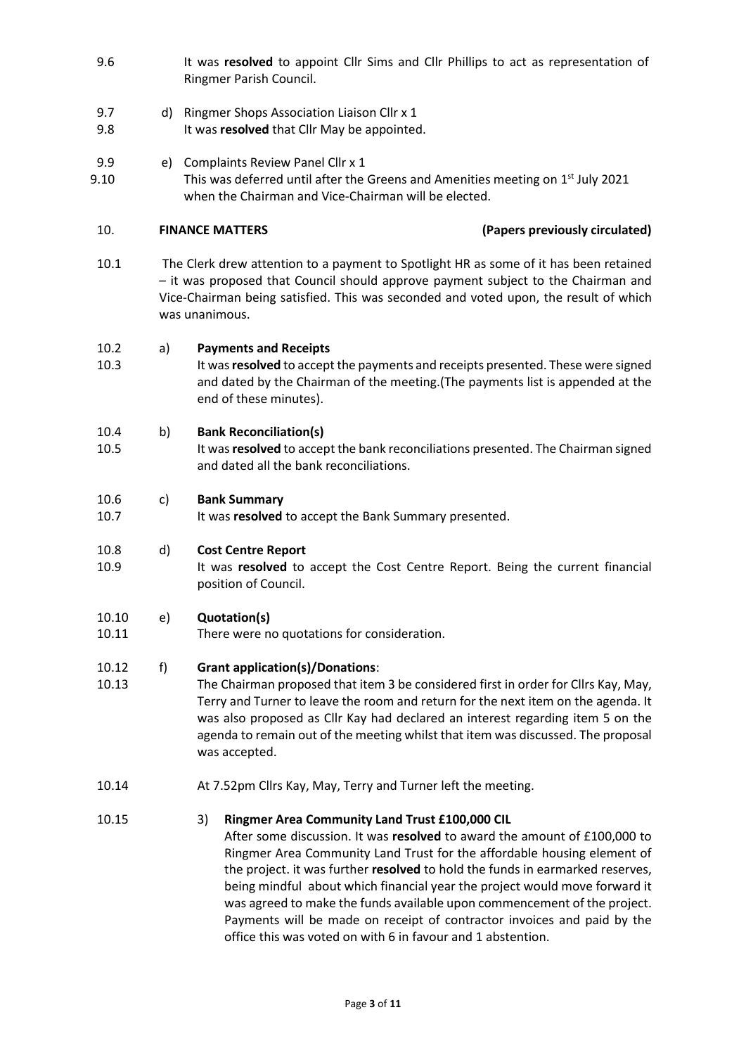- 9.6 It was **resolved** to appoint Cllr Sims and Cllr Phillips to act as representation of Ringmer Parish Council.
- 9.7 d) Ringmer Shops Association Liaison Cllr x 1
- 9.8 It was **resolved** that Cllr May be appointed.
- 9.9 e) Complaints Review Panel Cllr x 1
- 9.10 This was deferred until after the Greens and Amenities meeting on 1<sup>st</sup> July 2021 when the Chairman and Vice-Chairman will be elected.

# 10. **FINANCE MATTERS (Papers previously circulated)**

10.3

10.1 The Clerk drew attention to a payment to Spotlight HR as some of it has been retained – it was proposed that Council should approve payment subject to the Chairman and Vice-Chairman being satisfied. This was seconded and voted upon, the result of which was unanimous.

#### 10.2 a) **Payments and Receipts**

It was **resolved** to accept the payments and receipts presented. These were signed and dated by the Chairman of the meeting.(The payments list is appended at the end of these minutes).

#### 10.4 b) **Bank Reconciliation(s)**

10.5 It was **resolved** to accept the bank reconciliations presented. The Chairman signed and dated all the bank reconciliations.

#### 10.6 c) **Bank Summary**

10.7 It was **resolved** to accept the Bank Summary presented.

### 10.8 d) **Cost Centre Report**

10.9 It was **resolved** to accept the Cost Centre Report. Being the current financial position of Council.

#### 10.10 e) **Quotation(s)**

10.11 There were no quotations for consideration.

### 10.12 f) **Grant application(s)/Donations**:

10.13 The Chairman proposed that item 3 be considered first in order for Cllrs Kay, May, Terry and Turner to leave the room and return for the next item on the agenda. It was also proposed as Cllr Kay had declared an interest regarding item 5 on the agenda to remain out of the meeting whilst that item was discussed. The proposal was accepted.

10.14 At 7.52pm Cllrs Kay, May, Terry and Turner left the meeting.

### 10.15 3) **Ringmer Area Community Land Trust £100,000 CIL**

After some discussion. It was **resolved** to award the amount of £100,000 to Ringmer Area Community Land Trust for the affordable housing element of the project. it was further **resolved** to hold the funds in earmarked reserves, being mindful about which financial year the project would move forward it was agreed to make the funds available upon commencement of the project. Payments will be made on receipt of contractor invoices and paid by the office this was voted on with 6 in favour and 1 abstention.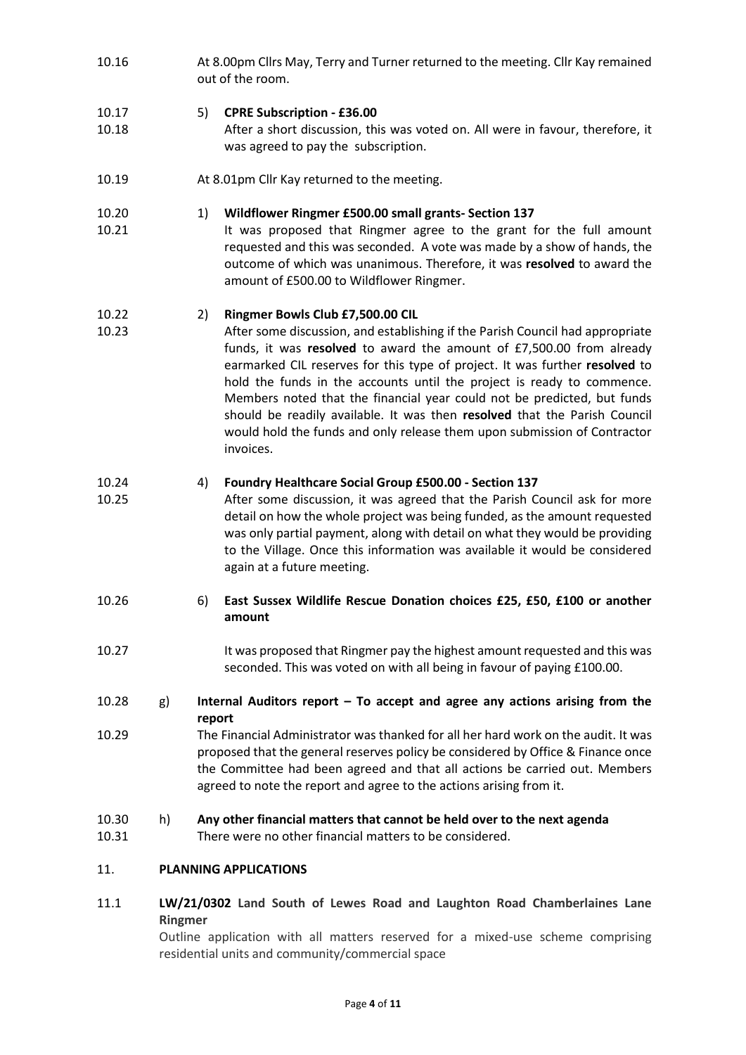10.16 At 8.00pm Cllrs May, Terry and Turner returned to the meeting. Cllr Kay remained out of the room.

#### 10.17 5) **CPRE Subscription - £36.00**

- 10.18 After a short discussion, this was voted on. All were in favour, therefore, it was agreed to pay the subscription.
- 10.19 At 8.01pm Cllr Kay returned to the meeting.
- 10.20 1) **Wildflower Ringmer £500.00 small grants- Section 137**
- 10.21 It was proposed that Ringmer agree to the grant for the full amount requested and this was seconded. A vote was made by a show of hands, the outcome of which was unanimous. Therefore, it was **resolved** to award the amount of £500.00 to Wildflower Ringmer.

#### 10.22 2) **Ringmer Bowls Club £7,500.00 CIL**

10.23 After some discussion, and establishing if the Parish Council had appropriate funds, it was **resolved** to award the amount of £7,500.00 from already earmarked CIL reserves for this type of project. It was further **resolved** to hold the funds in the accounts until the project is ready to commence. Members noted that the financial year could not be predicted, but funds should be readily available. It was then **resolved** that the Parish Council would hold the funds and only release them upon submission of Contractor invoices.

#### 10.24 4) **Foundry Healthcare Social Group £500.00 - Section 137**

- 10.25 After some discussion, it was agreed that the Parish Council ask for more detail on how the whole project was being funded, as the amount requested was only partial payment, along with detail on what they would be providing to the Village. Once this information was available it would be considered again at a future meeting.
- 10.26 6) **East Sussex Wildlife Rescue Donation choices £25, £50, £100 or another amount**
- 10.27 It was proposed that Ringmer pay the highest amount requested and this was seconded. This was voted on with all being in favour of paying £100.00.
- 10.28 g) **Internal Auditors report – To accept and agree any actions arising from the report**
- 10.29 The Financial Administrator was thanked for all her hard work on the audit. It was proposed that the general reserves policy be considered by Office & Finance once the Committee had been agreed and that all actions be carried out. Members agreed to note the report and agree to the actions arising from it.
- 10.30 h) **Any other financial matters that cannot be held over to the next agenda**
- 10.31 There were no other financial matters to be considered.

### 11. **PLANNING APPLICATIONS**

11.1 **LW/21/0302 Land South of Lewes Road and Laughton Road Chamberlaines Lane Ringmer** 

Outline application with all matters reserved for a mixed-use scheme comprising residential units and community/commercial space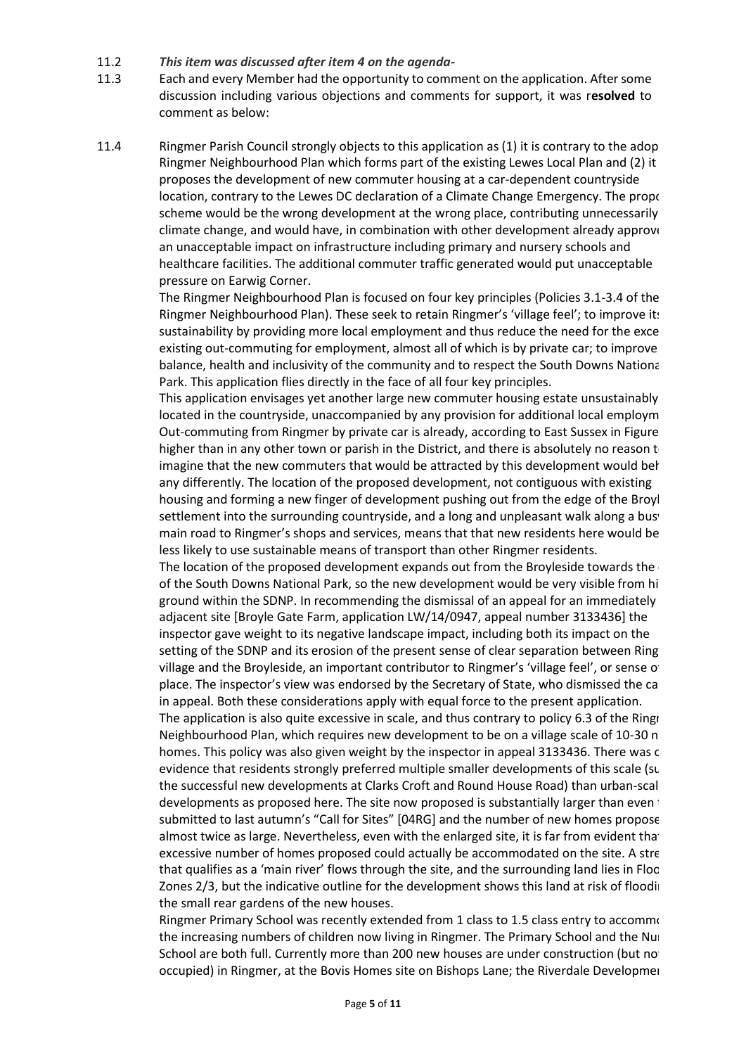- 11.2 *This item was discussed after item 4 on the agenda-*
- 11.3 Each and every Member had the opportunity to comment on the application. After some discussion including various objections and comments for support, it was r**esolved** to comment as below:
- 11.4 Ringmer Parish Council strongly objects to this application as (1) it is contrary to the adop Ringmer Neighbourhood Plan which forms part of the existing Lewes Local Plan and (2) it proposes the development of new commuter housing at a car-dependent countryside location, contrary to the Lewes DC declaration of a Climate Change Emergency. The propose scheme would be the wrong development at the wrong place, contributing unnecessarily climate change, and would have, in combination with other development already approve an unacceptable impact on infrastructure including primary and nursery schools and healthcare facilities. The additional commuter traffic generated would put unacceptable pressure on Earwig Corner.

The Ringmer Neighbourhood Plan is focused on four key principles (Policies 3.1-3.4 of the Ringmer Neighbourhood Plan). These seek to retain Ringmer's 'village feel'; to improve its sustainability by providing more local employment and thus reduce the need for the exce existing out-commuting for employment, almost all of which is by private car; to improve balance, health and inclusivity of the community and to respect the South Downs National Park. This application flies directly in the face of all four key principles.

This application envisages yet another large new commuter housing estate unsustainably located in the countryside, unaccompanied by any provision for additional local employm Out-commuting from Ringmer by private car is already, according to East Sussex in Figure higher than in any other town or parish in the District, and there is absolutely no reason  $t_0$ imagine that the new commuters that would be attracted by this development would behave any differently. The location of the proposed development, not contiguous with existing housing and forming a new finger of development pushing out from the edge of the Broyl settlement into the surrounding countryside, and a long and unpleasant walk along a busy main road to Ringmer's shops and services, means that that new residents here would be less likely to use sustainable means of transport than other Ringmer residents.

The location of the proposed development expands out from the Broyleside towards the of the South Downs National Park, so the new development would be very visible from higher ground within the SDNP. In recommending the dismissal of an appeal for an immediately adjacent site [Broyle Gate Farm, application LW/14/0947, appeal number 3133436] the inspector gave weight to its negative landscape impact, including both its impact on the setting of the SDNP and its erosion of the present sense of clear separation between Ring village and the Broyleside, an important contributor to Ringmer's 'village feel', or sense of place. The inspector's view was endorsed by the Secretary of State, who dismissed the calledin appeal. Both these considerations apply with equal force to the present application.

The application is also quite excessive in scale, and thus contrary to policy 6.3 of the Ringr Neighbourhood Plan, which requires new development to be on a village scale of 10-30 n homes. This policy was also given weight by the inspector in appeal 3133436. There was c evidence that residents strongly preferred multiple smaller developments of this scale (sup the successful new developments at Clarks Croft and Round House Road) than urban-scale developments as proposed here. The site now proposed is substantially larger than even  $t$ submitted to last autumn's "Call for Sites" [04RG] and the number of new homes propose almost twice as large. Nevertheless, even with the enlarged site, it is far from evident that excessive number of homes proposed could actually be accommodated on the site. A stream that qualifies as a 'main river' flows through the site, and the surrounding land lies in Floo Zones 2/3, but the indicative outline for the development shows this land at risk of flooding the small rear gardens of the new houses.

Ringmer Primary School was recently extended from 1 class to 1.5 class entry to accommo the increasing numbers of children now living in Ringmer. The Primary School and the Nur School are both full. Currently more than 200 new houses are under construction (but no occupied) in Ringmer, at the Bovis Homes site on Bishops Lane; the Riverdale Development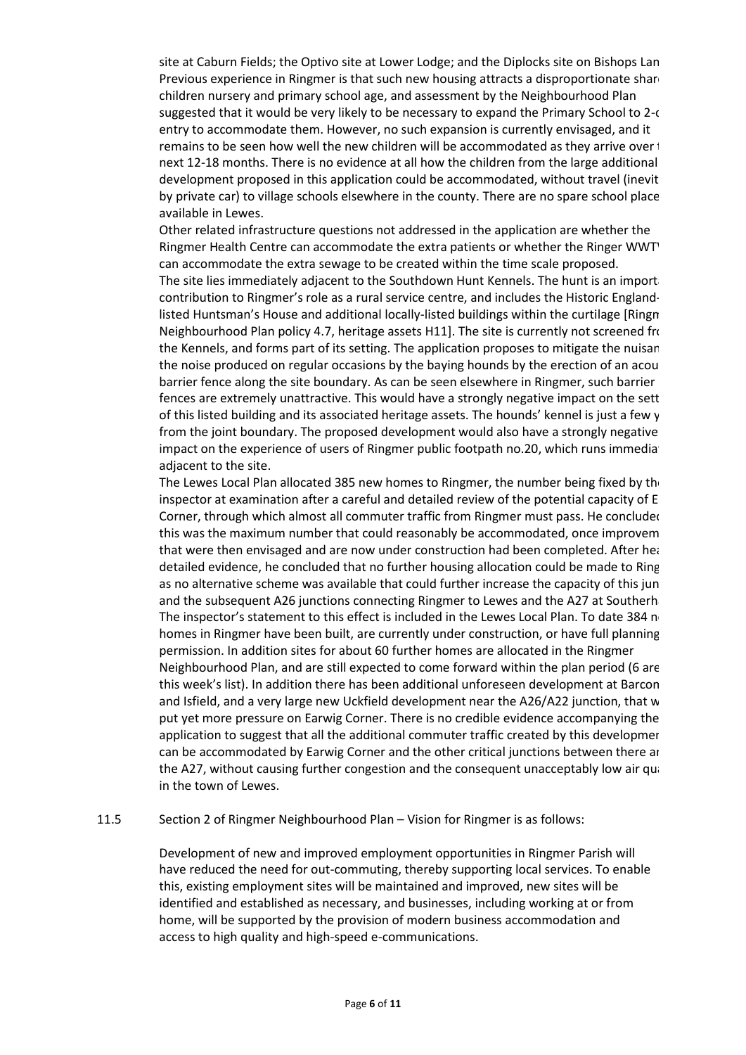site at Caburn Fields; the Optivo site at Lower Lodge; and the Diplocks site on Bishops Lan Previous experience in Ringmer is that such new housing attracts a disproportionate share children nursery and primary school age, and assessment by the Neighbourhood Plan suggested that it would be very likely to be necessary to expand the Primary School to 2-c entry to accommodate them. However, no such expansion is currently envisaged, and it remains to be seen how well the new children will be accommodated as they arrive over  $\dagger$ next 12-18 months. There is no evidence at all how the children from the large additional development proposed in this application could be accommodated, without travel (inevit by private car) to village schools elsewhere in the county. There are no spare school place available in Lewes.

Other related infrastructure questions not addressed in the application are whether the Ringmer Health Centre can accommodate the extra patients or whether the Ringer WWT can accommodate the extra sewage to be created within the time scale proposed.

The site lies immediately adjacent to the Southdown Hunt Kennels. The hunt is an import contribution to Ringmer's role as a rural service centre, and includes the Historic Englandlisted Huntsman's House and additional locally-listed buildings within the curtilage [Ringn] Neighbourhood Plan policy 4.7, heritage assets H11. The site is currently not screened from the Kennels, and forms part of its setting. The application proposes to mitigate the nuisan the noise produced on regular occasions by the baying hounds by the erection of an acou barrier fence along the site boundary. As can be seen elsewhere in Ringmer, such barrier fences are extremely unattractive. This would have a strongly negative impact on the sett of this listed building and its associated heritage assets. The hounds' kennel is just a few y from the joint boundary. The proposed development would also have a strongly negative impact on the experience of users of Ringmer public footpath no.20, which runs immediation adjacent to the site.

The Lewes Local Plan allocated 385 new homes to Ringmer, the number being fixed by the inspector at examination after a careful and detailed review of the potential capacity of E Corner, through which almost all commuter traffic from Ringmer must pass. He concluded this was the maximum number that could reasonably be accommodated, once improvem that were then envisaged and are now under construction had been completed. After heardetailed evidence, he concluded that no further housing allocation could be made to Ring as no alternative scheme was available that could further increase the capacity of this jun and the subsequent A26 junctions connecting Ringmer to Lewes and the A27 at Southerh. The inspector's statement to this effect is included in the Lewes Local Plan. To date 384 new homes in Ringmer have been built, are currently under construction, or have full planning permission. In addition sites for about 60 further homes are allocated in the Ringmer Neighbourhood Plan, and are still expected to come forward within the plan period (6 are this week's list). In addition there has been additional unforeseen development at Barcombe and Isfield, and a very large new Uckfield development near the A26/A22 junction, that w put yet more pressure on Earwig Corner. There is no credible evidence accompanying the application to suggest that all the additional commuter traffic created by this developmer can be accommodated by Earwig Corner and the other critical junctions between there and the A27, without causing further congestion and the consequent unacceptably low air quality in the town of Lewes.

### 11.5 Section 2 of Ringmer Neighbourhood Plan – Vision for Ringmer is as follows:

Development of new and improved employment opportunities in Ringmer Parish will have reduced the need for out-commuting, thereby supporting local services. To enable this, existing employment sites will be maintained and improved, new sites will be identified and established as necessary, and businesses, including working at or from home, will be supported by the provision of modern business accommodation and access to high quality and high-speed e-communications.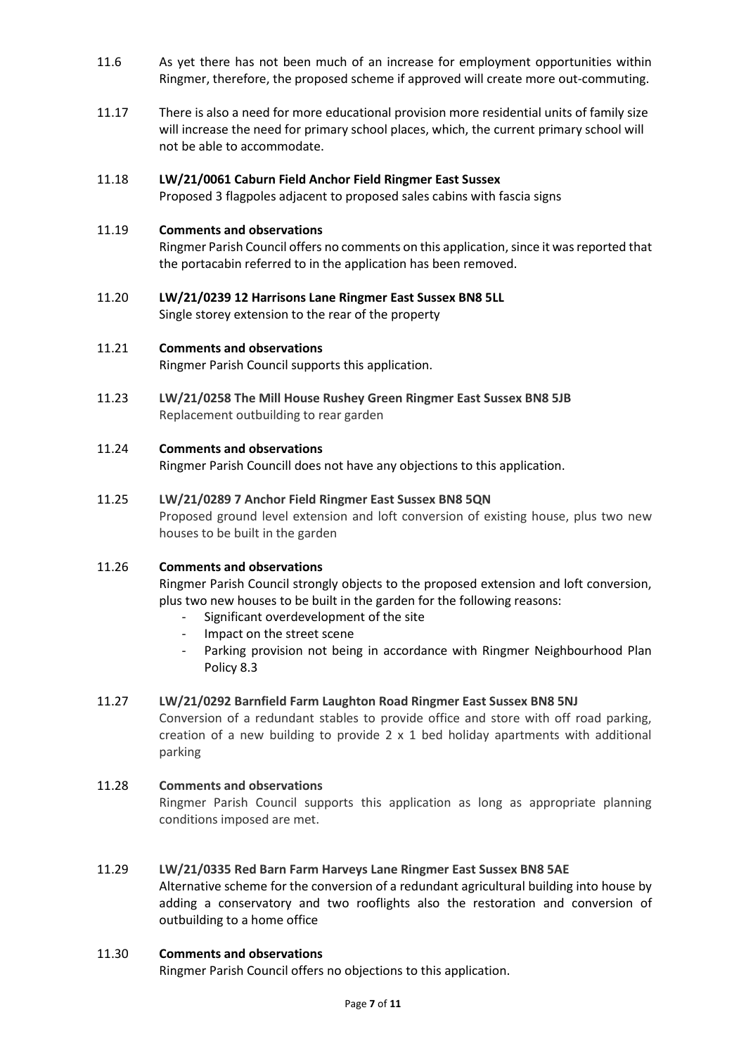- 11.6 As yet there has not been much of an increase for employment opportunities within Ringmer, therefore, the proposed scheme if approved will create more out-commuting.
- 11.17 There is also a need for more educational provision more residential units of family size will increase the need for primary school places, which, the current primary school will not be able to accommodate.

#### 11.18 **LW/21/0061 Caburn Field Anchor Field Ringmer East Sussex**

Proposed 3 flagpoles adjacent to proposed sales cabins with fascia signs

#### 11.19 **Comments and observations**

Ringmer Parish Council offers no comments on this application, since it was reported that the portacabin referred to in the application has been removed.

11.20 **LW/21/0239 12 Harrisons Lane Ringmer East Sussex BN8 5LL** Single storey extension to the rear of the property

#### 11.21 **Comments and observations**

Ringmer Parish Council supports this application.

11.23 **LW/21/0258 The Mill House Rushey Green Ringmer East Sussex BN8 5JB** Replacement outbuilding to rear garden

#### 11.24 **Comments and observations**

Ringmer Parish Councill does not have any objections to this application.

#### 11.25 **LW/21/0289 7 Anchor Field Ringmer East Sussex BN8 5QN**

Proposed ground level extension and loft conversion of existing house, plus two new houses to be built in the garden

#### 11.26 **Comments and observations**

Ringmer Parish Council strongly objects to the proposed extension and loft conversion, plus two new houses to be built in the garden for the following reasons:

- Significant overdevelopment of the site
- Impact on the street scene
- Parking provision not being in accordance with Ringmer Neighbourhood Plan Policy 8.3

#### 11.27 **LW/21/0292 Barnfield Farm Laughton Road Ringmer East Sussex BN8 5NJ**

Conversion of a redundant stables to provide office and store with off road parking, creation of a new building to provide  $2 \times 1$  bed holiday apartments with additional parking

### 11.28 **Comments and observations**

Ringmer Parish Council supports this application as long as appropriate planning conditions imposed are met.

#### 11.29 **LW/21/0335 Red Barn Farm Harveys Lane Ringmer East Sussex BN8 5AE**

Alternative scheme for the conversion of a redundant agricultural building into house by adding a conservatory and two rooflights also the restoration and conversion of outbuilding to a home office

#### 11.30 **Comments and observations**

Ringmer Parish Council offers no objections to this application.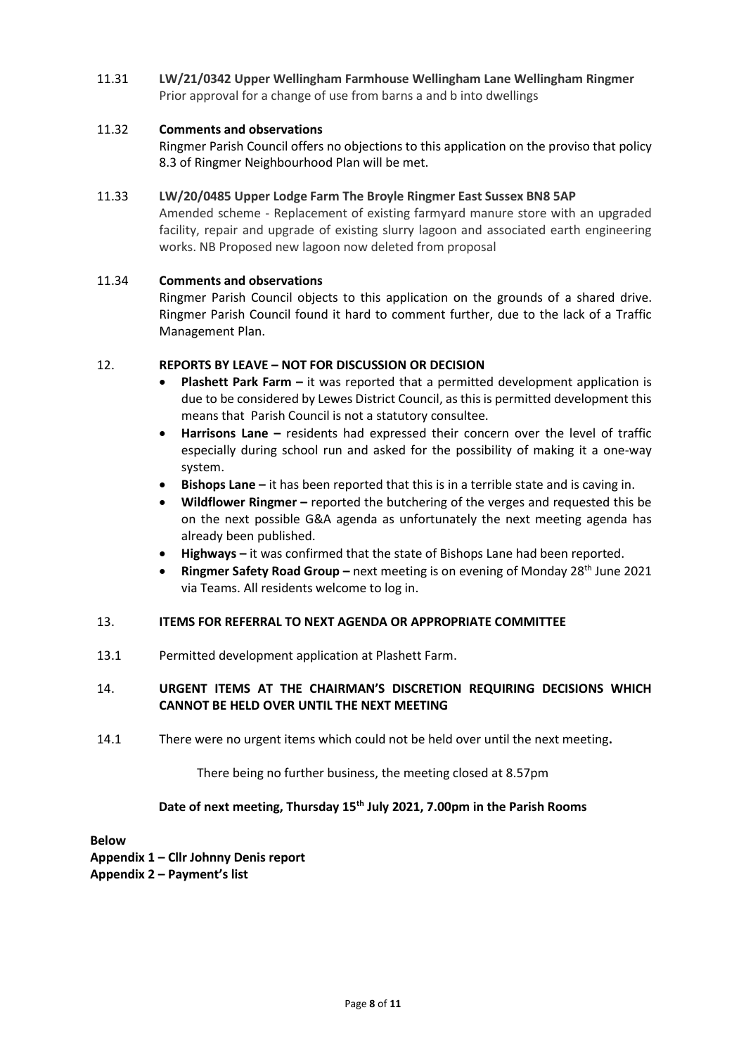11.31 **LW/21/0342 Upper Wellingham Farmhouse Wellingham Lane Wellingham Ringmer** Prior approval for a change of use from barns a and b into dwellings

#### 11.32 **Comments and observations**

Ringmer Parish Council offers no objections to this application on the proviso that policy 8.3 of Ringmer Neighbourhood Plan will be met.

#### 11.33 **LW/20/0485 Upper Lodge Farm The Broyle Ringmer East Sussex BN8 5AP**

Amended scheme - Replacement of existing farmyard manure store with an upgraded facility, repair and upgrade of existing slurry lagoon and associated earth engineering works. NB Proposed new lagoon now deleted from proposal

#### 11.34 **Comments and observations**

Ringmer Parish Council objects to this application on the grounds of a shared drive. Ringmer Parish Council found it hard to comment further, due to the lack of a Traffic Management Plan.

### 12. **REPORTS BY LEAVE – NOT FOR DISCUSSION OR DECISION**

- **Plashett Park Farm –** it was reported that a permitted development application is due to be considered by Lewes District Council, as this is permitted development this means that Parish Council is not a statutory consultee.
- **Harrisons Lane –** residents had expressed their concern over the level of traffic especially during school run and asked for the possibility of making it a one-way system.
- **Bishops Lane –** it has been reported that this is in a terrible state and is caving in.
- **Wildflower Ringmer –** reported the butchering of the verges and requested this be on the next possible G&A agenda as unfortunately the next meeting agenda has already been published.
- **Highways –** it was confirmed that the state of Bishops Lane had been reported.
- **Ringmer Safety Road Group –** next meeting is on evening of Monday 28<sup>th</sup> June 2021 via Teams. All residents welcome to log in.

#### 13. **ITEMS FOR REFERRAL TO NEXT AGENDA OR APPROPRIATE COMMITTEE**

13.1 Permitted development application at Plashett Farm.

### 14. **URGENT ITEMS AT THE CHAIRMAN'S DISCRETION REQUIRING DECISIONS WHICH CANNOT BE HELD OVER UNTIL THE NEXT MEETING**

14.1 There were no urgent items which could not be held over until the next meeting**.**

There being no further business, the meeting closed at 8.57pm

### **Date of next meeting, Thursday 15th July 2021, 7.00pm in the Parish Rooms**

**Below**

**Appendix 1 – Cllr Johnny Denis report Appendix 2 – Payment's list**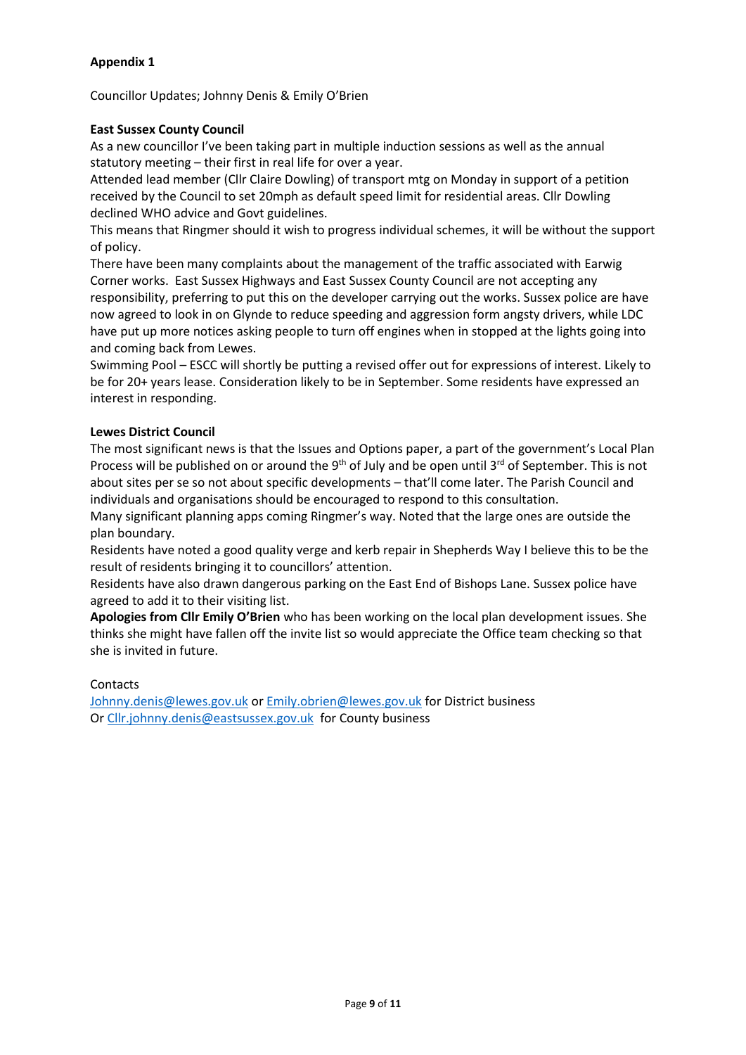# **Appendix 1**

Councillor Updates; Johnny Denis & Emily O'Brien

### **East Sussex County Council**

As a new councillor I've been taking part in multiple induction sessions as well as the annual statutory meeting – their first in real life for over a year.

Attended lead member (Cllr Claire Dowling) of transport mtg on Monday in support of a petition received by the Council to set 20mph as default speed limit for residential areas. Cllr Dowling declined WHO advice and Govt guidelines.

This means that Ringmer should it wish to progress individual schemes, it will be without the support of policy.

There have been many complaints about the management of the traffic associated with Earwig Corner works. East Sussex Highways and East Sussex County Council are not accepting any responsibility, preferring to put this on the developer carrying out the works. Sussex police are have now agreed to look in on Glynde to reduce speeding and aggression form angsty drivers, while LDC have put up more notices asking people to turn off engines when in stopped at the lights going into and coming back from Lewes.

Swimming Pool – ESCC will shortly be putting a revised offer out for expressions of interest. Likely to be for 20+ years lease. Consideration likely to be in September. Some residents have expressed an interest in responding.

### **Lewes District Council**

The most significant news is that the Issues and Options paper, a part of the government's Local Plan Process will be published on or around the 9<sup>th</sup> of July and be open until 3<sup>rd</sup> of September. This is not about sites per se so not about specific developments – that'll come later. The Parish Council and individuals and organisations should be encouraged to respond to this consultation.

Many significant planning apps coming Ringmer's way. Noted that the large ones are outside the plan boundary.

Residents have noted a good quality verge and kerb repair in Shepherds Way I believe this to be the result of residents bringing it to councillors' attention.

Residents have also drawn dangerous parking on the East End of Bishops Lane. Sussex police have agreed to add it to their visiting list.

**Apologies from Cllr Emily O'Brien** who has been working on the local plan development issues. She thinks she might have fallen off the invite list so would appreciate the Office team checking so that she is invited in future.

### Contacts

[Johnny.denis@lewes.gov.uk](mailto:Johnny.denis@lewes.gov.uk) o[r Emily.obrien@lewes.gov.uk](mailto:Emily.obrien@lewes.gov.uk) for District business O[r Cllr.johnny.denis@eastsussex.gov.uk](mailto:Cllr.johnny.denis@eastsussex.gov.uk) for County business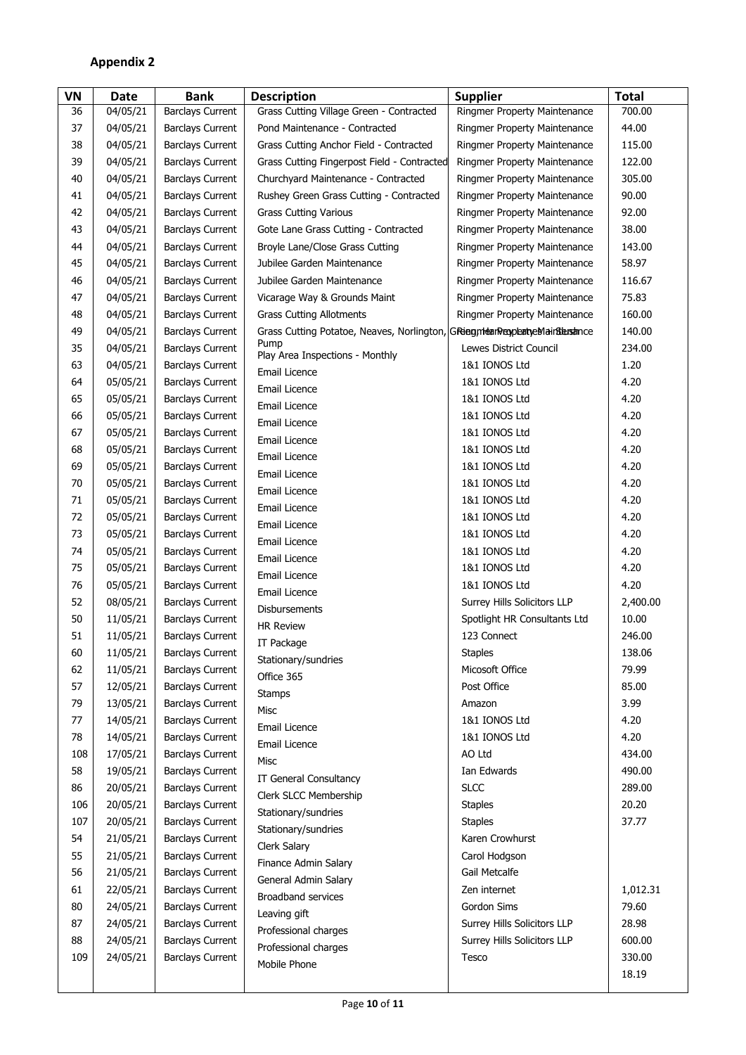# **Appendix 2**

| VN  | <b>Date</b> | <b>Bank</b>             | <b>Description</b>                                                               | <b>Supplier</b>                    | <b>Total</b> |
|-----|-------------|-------------------------|----------------------------------------------------------------------------------|------------------------------------|--------------|
| 36  | 04/05/21    | <b>Barclays Current</b> | Grass Cutting Village Green - Contracted                                         | Ringmer Property Maintenance       | 700.00       |
| 37  | 04/05/21    | <b>Barclays Current</b> | Pond Maintenance - Contracted                                                    | Ringmer Property Maintenance       | 44.00        |
| 38  | 04/05/21    | <b>Barclays Current</b> | Grass Cutting Anchor Field - Contracted                                          | Ringmer Property Maintenance       | 115.00       |
| 39  | 04/05/21    | <b>Barclays Current</b> | Grass Cutting Fingerpost Field - Contracted                                      | Ringmer Property Maintenance       | 122.00       |
| 40  | 04/05/21    | <b>Barclays Current</b> | Churchyard Maintenance - Contracted                                              | Ringmer Property Maintenance       | 305.00       |
| 41  | 04/05/21    | <b>Barclays Current</b> | Rushey Green Grass Cutting - Contracted                                          | Ringmer Property Maintenance       | 90.00        |
| 42  | 04/05/21    | <b>Barclays Current</b> | <b>Grass Cutting Various</b>                                                     | Ringmer Property Maintenance       | 92.00        |
| 43  | 04/05/21    | <b>Barclays Current</b> | Gote Lane Grass Cutting - Contracted                                             | Ringmer Property Maintenance       | 38.00        |
| 44  | 04/05/21    | <b>Barclays Current</b> | Broyle Lane/Close Grass Cutting                                                  | Ringmer Property Maintenance       | 143.00       |
| 45  | 04/05/21    | <b>Barclays Current</b> | Jubilee Garden Maintenance                                                       | Ringmer Property Maintenance       | 58.97        |
| 46  | 04/05/21    | <b>Barclays Current</b> | Jubilee Garden Maintenance                                                       | Ringmer Property Maintenance       | 116.67       |
| 47  | 04/05/21    | <b>Barclays Current</b> | Vicarage Way & Grounds Maint                                                     | Ringmer Property Maintenance       | 75.83        |
| 48  | 04/05/21    | <b>Barclays Current</b> | <b>Grass Cutting Allotments</b>                                                  | Ringmer Property Maintenance       | 160.00       |
| 49  | 04/05/21    | <b>Barclays Current</b> | Grass Cutting Potatoe, Neaves, Norlington, GRiegntean Reypleaty elain Sterstance |                                    | 140.00       |
| 35  | 04/05/21    | <b>Barclays Current</b> | Pump                                                                             | Lewes District Council             | 234.00       |
| 63  | 04/05/21    | <b>Barclays Current</b> | Play Area Inspections - Monthly                                                  | 1&1 IONOS Ltd                      | 1.20         |
| 64  | 05/05/21    | <b>Barclays Current</b> | Email Licence                                                                    | 1&1 IONOS Ltd                      | 4.20         |
| 65  | 05/05/21    | <b>Barclays Current</b> | Email Licence                                                                    | 1&1 IONOS Ltd                      | 4.20         |
| 66  | 05/05/21    | <b>Barclays Current</b> | Email Licence                                                                    | 1&1 IONOS Ltd                      | 4.20         |
| 67  | 05/05/21    | <b>Barclays Current</b> | Email Licence                                                                    | 1&1 IONOS Ltd                      | 4.20         |
| 68  | 05/05/21    | <b>Barclays Current</b> | Email Licence                                                                    | 1&1 IONOS Ltd                      | 4.20         |
| 69  | 05/05/21    | <b>Barclays Current</b> | Email Licence                                                                    | 1&1 IONOS Ltd                      | 4.20         |
| 70  | 05/05/21    | <b>Barclays Current</b> | Email Licence                                                                    | 1&1 IONOS Ltd                      | 4.20         |
| 71  | 05/05/21    | <b>Barclays Current</b> | Email Licence                                                                    | 1&1 IONOS Ltd                      | 4.20         |
| 72  | 05/05/21    | <b>Barclays Current</b> | Email Licence                                                                    | 1&1 IONOS Ltd                      | 4.20         |
| 73  | 05/05/21    | <b>Barclays Current</b> | Email Licence                                                                    | 1&1 IONOS Ltd                      | 4.20         |
| 74  | 05/05/21    | <b>Barclays Current</b> | Email Licence                                                                    | 1&1 IONOS Ltd                      | 4.20         |
| 75  | 05/05/21    | <b>Barclays Current</b> | Email Licence                                                                    | 1&1 IONOS Ltd                      | 4.20         |
| 76  | 05/05/21    | <b>Barclays Current</b> | Email Licence                                                                    | 1&1 IONOS Ltd                      | 4.20         |
| 52  | 08/05/21    | <b>Barclays Current</b> | Email Licence                                                                    | <b>Surrey Hills Solicitors LLP</b> | 2,400.00     |
| 50  | 11/05/21    | <b>Barclays Current</b> | <b>Disbursements</b>                                                             | Spotlight HR Consultants Ltd       | 10.00        |
| 51  | 11/05/21    | <b>Barclays Current</b> | <b>HR Review</b>                                                                 | 123 Connect                        | 246.00       |
| 60  | 11/05/21    | <b>Barclays Current</b> | IT Package                                                                       | <b>Staples</b>                     | 138.06       |
| 62  | 11/05/21    | <b>Barclays Current</b> | Stationary/sundries                                                              | Micosoft Office                    | 79.99        |
| 57  | 12/05/21    | <b>Barclays Current</b> | Office 365                                                                       | Post Office                        | 85.00        |
| 79  | 13/05/21    | <b>Barclays Current</b> | <b>Stamps</b>                                                                    | Amazon                             | 3.99         |
| 77  | 14/05/21    | <b>Barclays Current</b> | Misc                                                                             | 1&1 IONOS Ltd                      | 4.20         |
| 78  | 14/05/21    | <b>Barclays Current</b> | Email Licence                                                                    | 1&1 IONOS Ltd                      | 4.20         |
| 108 | 17/05/21    | <b>Barclays Current</b> | Email Licence                                                                    | AO Ltd                             | 434.00       |
| 58  | 19/05/21    | <b>Barclays Current</b> | Misc                                                                             | Ian Edwards                        | 490.00       |
| 86  | 20/05/21    | <b>Barclays Current</b> | IT General Consultancy                                                           | <b>SLCC</b>                        | 289.00       |
| 106 | 20/05/21    | <b>Barclays Current</b> | Clerk SLCC Membership                                                            | <b>Staples</b>                     | 20.20        |
| 107 | 20/05/21    | <b>Barclays Current</b> | Stationary/sundries                                                              | <b>Staples</b>                     | 37.77        |
| 54  | 21/05/21    | <b>Barclays Current</b> | Stationary/sundries                                                              | Karen Crowhurst                    |              |
| 55  | 21/05/21    | <b>Barclays Current</b> | Clerk Salary                                                                     | Carol Hodgson                      |              |
| 56  | 21/05/21    | <b>Barclays Current</b> | Finance Admin Salary                                                             | Gail Metcalfe                      |              |
| 61  | 22/05/21    | <b>Barclays Current</b> | General Admin Salary                                                             | Zen internet                       | 1,012.31     |
| 80  | 24/05/21    | <b>Barclays Current</b> | <b>Broadband services</b>                                                        | Gordon Sims                        | 79.60        |
| 87  | 24/05/21    | <b>Barclays Current</b> | Leaving gift                                                                     | Surrey Hills Solicitors LLP        | 28.98        |
| 88  | 24/05/21    | <b>Barclays Current</b> | Professional charges                                                             | Surrey Hills Solicitors LLP        | 600.00       |
| 109 | 24/05/21    | <b>Barclays Current</b> | Professional charges                                                             | Tesco                              | 330.00       |
|     |             |                         | Mobile Phone                                                                     |                                    | 18.19        |
|     |             |                         |                                                                                  |                                    |              |